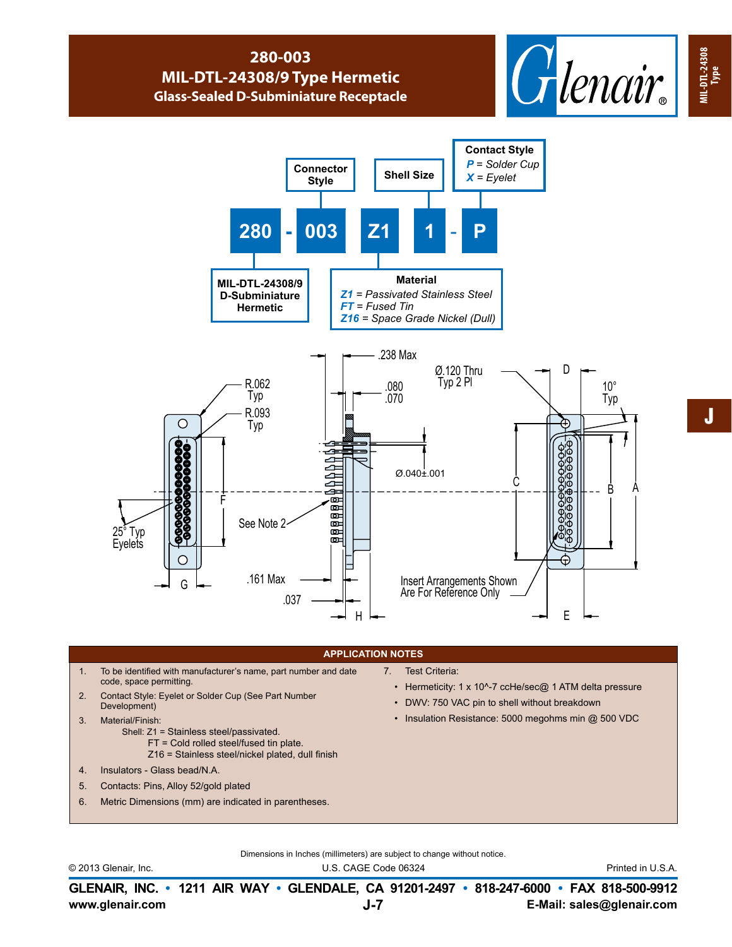## **280-003 MIL-DTL-24308/9 Type Hermetic Glass-Sealed D-Subminiature Receptacle**





## **APPLICATION NOTES**

- 1. To be identified with manufacturer's name, part number and date code, space permitting.
- 2. Contact Style: Eyelet or Solder Cup (See Part Number Development)
- 3. Material/Finish:
	- Shell: Z1 = Stainless steel/passivated.
		- FT = Cold rolled steel/fused tin plate.
		- Z16 = Stainless steel/nickel plated, dull finish
- 4. Insulators Glass bead/N.A.
- 5. Contacts: Pins, Alloy 52/gold plated
- 6. Metric Dimensions (mm) are indicated in parentheses.
- 7. Test Criteria:
	- Hermeticity: 1 x 10^-7 ccHe/sec@ 1 ATM delta pressure
	- DWV: 750 VAC pin to shell without breakdown
	- Insulation Resistance: 5000 megohms min @ 500 VDC

Dimensions in Inches (millimeters) are subject to change without notice.

© 2013 Glenair, Inc. U.S. CAGE Code 06324 Printed in U.S.A.

**www.glenair.com E-Mail: sales@glenair.com GLENAIR, INC. • 1211 AIR WAY • GLENDALE, CA 91201-2497 • 818-247-6000 • FAX 818-500-9912 J-7**